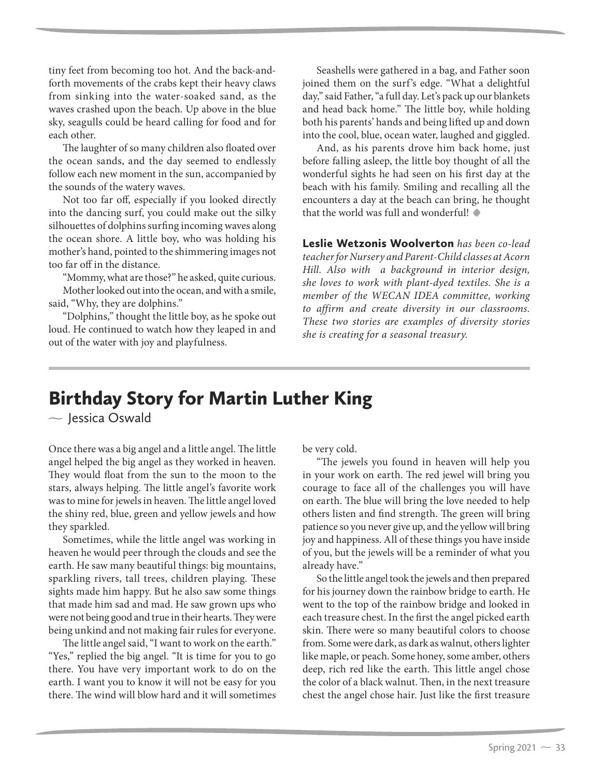## Birthday Story for Martin Luther King

 $\sim$  Jessica Oswald

Once there was a big angel and a little angel. The little angel helped the big angel as they worked in heaven. They would float from the sun to the moon to the stars, always helping. The little angel's favorite work was to mine for jewels in heaven. The little angel loved the shiny red, blue, green and yellow jewels and how they sparkled.

Sometimes, while the little angel was working in heaven he would peer through the clouds and see the earth. He saw many beautiful things: big mountains, sparkling rivers, tall trees, children playing. These sights made him happy. But he also saw some things that made him sad and mad. He saw grown ups who were not being good and true in their hearts. They were being unkind and not making fair rules for everyone.

The little angel said, "I want to work on the earth." "Yes," replied the big angel. "It is time for you to go there. You have very important work to do on the earth. I want you to know it will not be easy for you there. The wind will blow hard and it will sometimes

be very cold.

"The jewels you found in heaven will help you in your work on earth. The red jewel will bring you courage to face all of the challenges you will have on earth. The blue will bring the love needed to help others listen and find strength. The green will bring patience so you never give up, and the yellow will bring joy and happiness. All of these things you have inside of you, but the jewels will be a reminder of what you already have."

So the little angel took the jewels and then prepared for his journey down the rainbow bridge to earth. He went to the top of the rainbow bridge and looked in each treasure chest. In the first the angel picked earth skin. There were so many beautiful colors to choose from. Some were dark, as dark as walnut, others lighter like maple, or peach. Some honey, some amber, others deep, rich red like the earth. This little angel chose the color of a black walnut. Then, in the next treasure chest the angel chose hair. Just like the first treasure